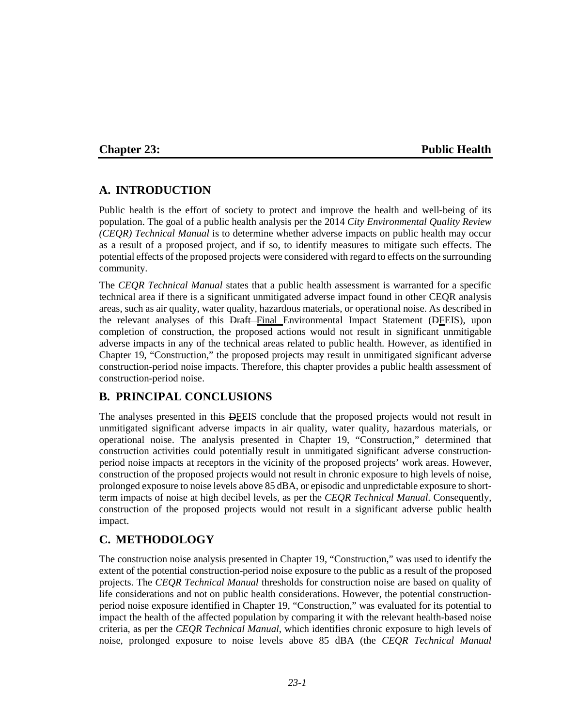# **Chapter 23: Public Health**

# **A. INTRODUCTION**

Public health is the effort of society to protect and improve the health and well‐being of its population. The goal of a public health analysis per the 2014 *City Environmental Quality Review (CEQR) Technical Manual* is to determine whether adverse impacts on public health may occur as a result of a proposed project, and if so, to identify measures to mitigate such effects. The potential effects of the proposed projects were considered with regard to effects on the surrounding community.

The *CEQR Technical Manual* states that a public health assessment is warranted for a specific technical area if there is a significant unmitigated adverse impact found in other CEQR analysis areas, such as air quality, water quality, hazardous materials, or operational noise. As described in the relevant analyses of this Draft-Final Environmental Impact Statement (DEEIS), upon completion of construction, the proposed actions would not result in significant unmitigable adverse impacts in any of the technical areas related to public health. However, as identified in Chapter 19, "Construction," the proposed projects may result in unmitigated significant adverse construction-period noise impacts. Therefore, this chapter provides a public health assessment of construction-period noise.

# **B. PRINCIPAL CONCLUSIONS**

The analyses presented in this DFEIS conclude that the proposed projects would not result in unmitigated significant adverse impacts in air quality, water quality, hazardous materials, or operational noise. The analysis presented in Chapter 19, "Construction," determined that construction activities could potentially result in unmitigated significant adverse constructionperiod noise impacts at receptors in the vicinity of the proposed projects' work areas. However, construction of the proposed projects would not result in chronic exposure to high levels of noise, prolonged exposure to noise levels above 85 dBA, or episodic and unpredictable exposure to shortterm impacts of noise at high decibel levels, as per the *CEQR Technical Manual*. Consequently, construction of the proposed projects would not result in a significant adverse public health impact.

# **C. METHODOLOGY**

The construction noise analysis presented in Chapter 19, "Construction," was used to identify the extent of the potential construction-period noise exposure to the public as a result of the proposed projects. The *CEQR Technical Manual* thresholds for construction noise are based on quality of life considerations and not on public health considerations. However, the potential constructionperiod noise exposure identified in Chapter 19, "Construction," was evaluated for its potential to impact the health of the affected population by comparing it with the relevant health-based noise criteria, as per the *CEQR Technical Manual*, which identifies chronic exposure to high levels of noise, prolonged exposure to noise levels above 85 dBA (the *CEQR Technical Manual*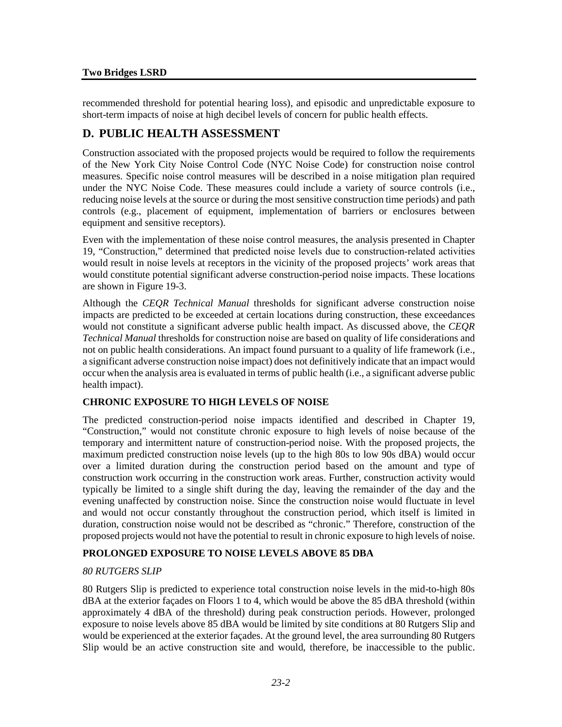#### **Two Bridges LSRD**

recommended threshold for potential hearing loss), and episodic and unpredictable exposure to short-term impacts of noise at high decibel levels of concern for public health effects.

# **D. PUBLIC HEALTH ASSESSMENT**

Construction associated with the proposed projects would be required to follow the requirements of the New York City Noise Control Code (NYC Noise Code) for construction noise control measures. Specific noise control measures will be described in a noise mitigation plan required under the NYC Noise Code. These measures could include a variety of source controls (i.e., reducing noise levels at the source or during the most sensitive construction time periods) and path controls (e.g., placement of equipment, implementation of barriers or enclosures between equipment and sensitive receptors).

Even with the implementation of these noise control measures, the analysis presented in Chapter 19, "Construction," determined that predicted noise levels due to construction‐related activities would result in noise levels at receptors in the vicinity of the proposed projects' work areas that would constitute potential significant adverse construction-period noise impacts. These locations are shown in Figure 19-3.

Although the *CEQR Technical Manual* thresholds for significant adverse construction noise impacts are predicted to be exceeded at certain locations during construction, these exceedances would not constitute a significant adverse public health impact. As discussed above, the *CEQR Technical Manual* thresholds for construction noise are based on quality of life considerations and not on public health considerations. An impact found pursuant to a quality of life framework (i.e., a significant adverse construction noise impact) does not definitively indicate that an impact would occur when the analysis area is evaluated in terms of public health (i.e., a significant adverse public health impact).

### **CHRONIC EXPOSURE TO HIGH LEVELS OF NOISE**

The predicted construction-period noise impacts identified and described in Chapter 19, "Construction," would not constitute chronic exposure to high levels of noise because of the temporary and intermittent nature of construction-period noise. With the proposed projects, the maximum predicted construction noise levels (up to the high 80s to low 90s dBA) would occur over a limited duration during the construction period based on the amount and type of construction work occurring in the construction work areas. Further, construction activity would typically be limited to a single shift during the day, leaving the remainder of the day and the evening unaffected by construction noise. Since the construction noise would fluctuate in level and would not occur constantly throughout the construction period, which itself is limited in duration, construction noise would not be described as "chronic." Therefore, construction of the proposed projects would not have the potential to result in chronic exposure to high levels of noise.

# **PROLONGED EXPOSURE TO NOISE LEVELS ABOVE 85 DBA**

### *80 RUTGERS SLIP*

80 Rutgers Slip is predicted to experience total construction noise levels in the mid-to-high 80s dBA at the exterior façades on Floors 1 to 4, which would be above the 85 dBA threshold (within approximately 4 dBA of the threshold) during peak construction periods. However, prolonged exposure to noise levels above 85 dBA would be limited by site conditions at 80 Rutgers Slip and would be experienced at the exterior façades. At the ground level, the area surrounding 80 Rutgers Slip would be an active construction site and would, therefore, be inaccessible to the public.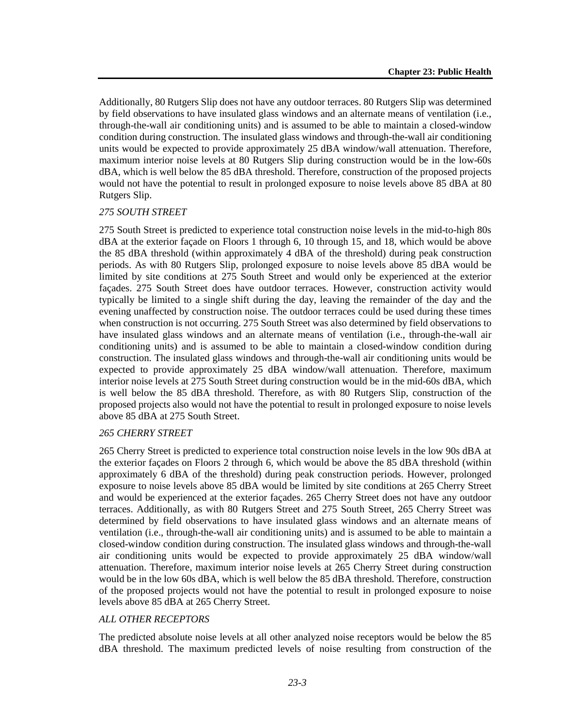Additionally, 80 Rutgers Slip does not have any outdoor terraces. 80 Rutgers Slip was determined by field observations to have insulated glass windows and an alternate means of ventilation (i.e., through-the-wall air conditioning units) and is assumed to be able to maintain a closed-window condition during construction. The insulated glass windows and through-the-wall air conditioning units would be expected to provide approximately 25 dBA window/wall attenuation. Therefore, maximum interior noise levels at 80 Rutgers Slip during construction would be in the low-60s dBA, which is well below the 85 dBA threshold. Therefore, construction of the proposed projects would not have the potential to result in prolonged exposure to noise levels above 85 dBA at 80 Rutgers Slip.

#### *275 SOUTH STREET*

275 South Street is predicted to experience total construction noise levels in the mid-to-high 80s dBA at the exterior façade on Floors 1 through 6, 10 through 15, and 18, which would be above the 85 dBA threshold (within approximately 4 dBA of the threshold) during peak construction periods. As with 80 Rutgers Slip, prolonged exposure to noise levels above 85 dBA would be limited by site conditions at 275 South Street and would only be experienced at the exterior façades. 275 South Street does have outdoor terraces. However, construction activity would typically be limited to a single shift during the day, leaving the remainder of the day and the evening unaffected by construction noise. The outdoor terraces could be used during these times when construction is not occurring. 275 South Street was also determined by field observations to have insulated glass windows and an alternate means of ventilation (i.e., through-the-wall air conditioning units) and is assumed to be able to maintain a closed-window condition during construction. The insulated glass windows and through-the-wall air conditioning units would be expected to provide approximately 25 dBA window/wall attenuation. Therefore, maximum interior noise levels at 275 South Street during construction would be in the mid-60s dBA, which is well below the 85 dBA threshold. Therefore, as with 80 Rutgers Slip, construction of the proposed projects also would not have the potential to result in prolonged exposure to noise levels above 85 dBA at 275 South Street.

#### *265 CHERRY STREET*

265 Cherry Street is predicted to experience total construction noise levels in the low 90s dBA at the exterior façades on Floors 2 through 6, which would be above the 85 dBA threshold (within approximately 6 dBA of the threshold) during peak construction periods. However, prolonged exposure to noise levels above 85 dBA would be limited by site conditions at 265 Cherry Street and would be experienced at the exterior façades. 265 Cherry Street does not have any outdoor terraces. Additionally, as with 80 Rutgers Street and 275 South Street, 265 Cherry Street was determined by field observations to have insulated glass windows and an alternate means of ventilation (i.e., through-the-wall air conditioning units) and is assumed to be able to maintain a closed-window condition during construction. The insulated glass windows and through-the-wall air conditioning units would be expected to provide approximately 25 dBA window/wall attenuation. Therefore, maximum interior noise levels at 265 Cherry Street during construction would be in the low 60s dBA, which is well below the 85 dBA threshold. Therefore, construction of the proposed projects would not have the potential to result in prolonged exposure to noise levels above 85 dBA at 265 Cherry Street.

### *ALL OTHER RECEPTORS*

The predicted absolute noise levels at all other analyzed noise receptors would be below the 85 dBA threshold. The maximum predicted levels of noise resulting from construction of the